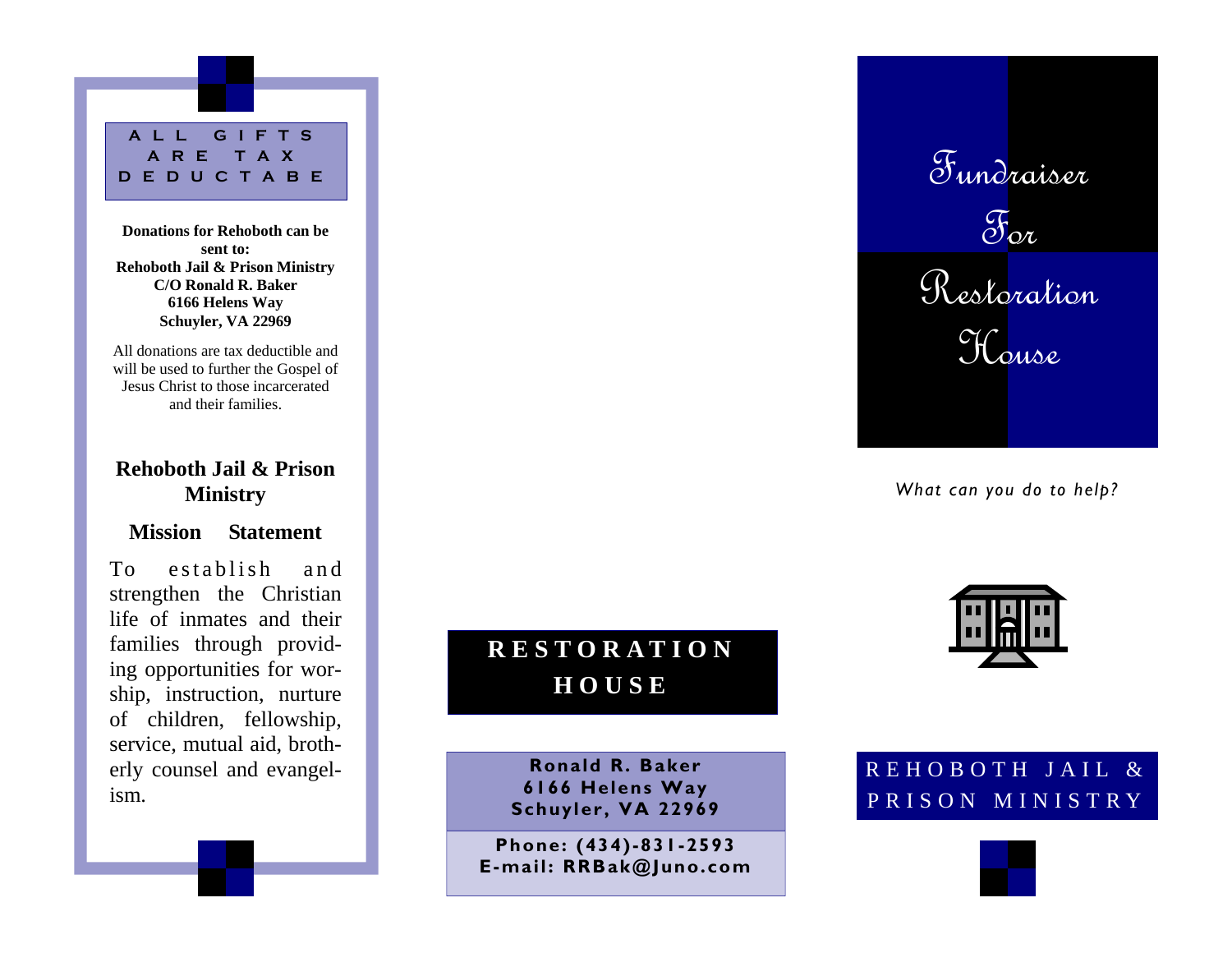**ALL GIFTS ARE TAX DEDUCTABE** 

**Donations for Rehoboth can be sent to: Rehoboth Jail & Prison Ministry C/O Ronald R. Baker 6166 Helens Way Schuyler, VA 22969** 

All donations are tax deductible and will be used to further the Gospel of Jesus Christ to those incarcerated and their families.

## **Rehoboth Jail & Prison Ministry**

### **Mission Statement**

To establish and strengthen the Christian life of inmates and their families through providing opportunities for worship, instruction, nurture of children, fellowship, service, mutual aid, brotherly counsel and evangelism.

**RESTORATION HOUSE** 

> **Ronald R. Baker 6166 Helens Way Schuyler, VA 22969**

**Phone: (434)-831-2593 E-mail: RRBak@Juno.com** 



*What can you do to help?* 



REHOBOTH JAIL & PRISON MINISTRY